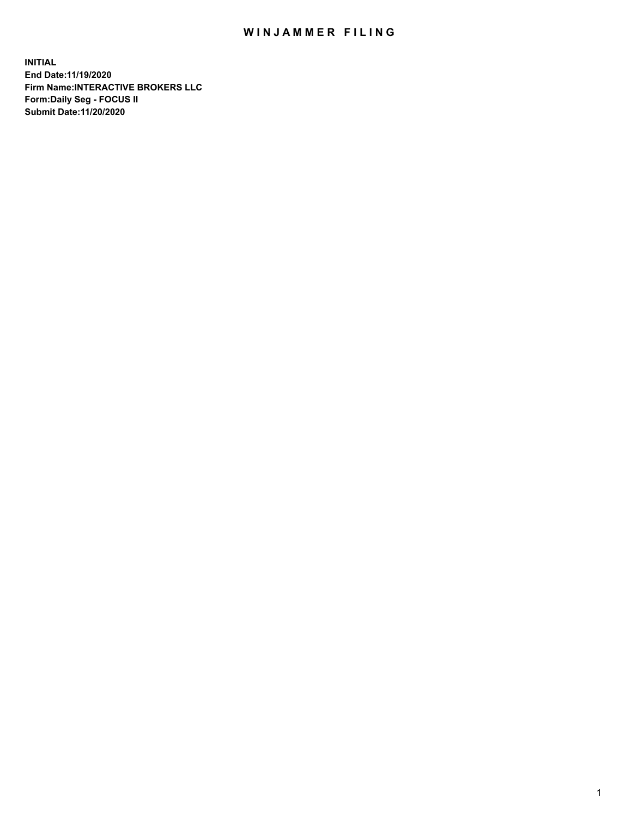## WIN JAMMER FILING

**INITIAL End Date:11/19/2020 Firm Name:INTERACTIVE BROKERS LLC Form:Daily Seg - FOCUS II Submit Date:11/20/2020**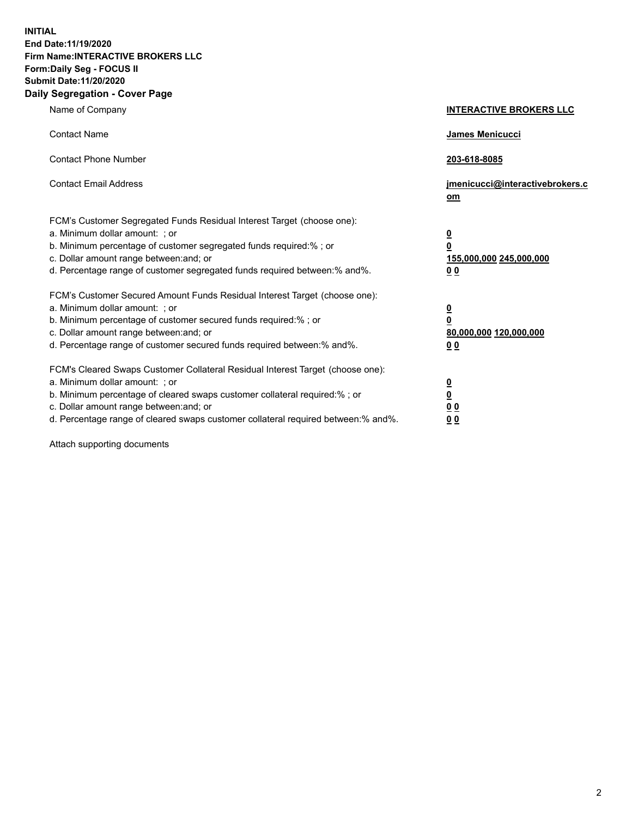**INITIAL End Date:11/19/2020 Firm Name:INTERACTIVE BROKERS LLC Form:Daily Seg - FOCUS II Submit Date:11/20/2020 Daily Segregation - Cover Page**

| Name of Company                                                                                                                                                                                                                                                                                                                | <b>INTERACTIVE BROKERS LLC</b>                                                                           |
|--------------------------------------------------------------------------------------------------------------------------------------------------------------------------------------------------------------------------------------------------------------------------------------------------------------------------------|----------------------------------------------------------------------------------------------------------|
| <b>Contact Name</b>                                                                                                                                                                                                                                                                                                            | James Menicucci                                                                                          |
| <b>Contact Phone Number</b>                                                                                                                                                                                                                                                                                                    | 203-618-8085                                                                                             |
| <b>Contact Email Address</b>                                                                                                                                                                                                                                                                                                   | jmenicucci@interactivebrokers.c<br>om                                                                    |
| FCM's Customer Segregated Funds Residual Interest Target (choose one):<br>a. Minimum dollar amount: ; or<br>b. Minimum percentage of customer segregated funds required:% ; or<br>c. Dollar amount range between: and; or<br>d. Percentage range of customer segregated funds required between:% and%.                         | $\overline{\mathbf{0}}$<br>$\overline{\mathbf{0}}$<br>155,000,000 245,000,000<br>0 <sub>0</sub>          |
| FCM's Customer Secured Amount Funds Residual Interest Target (choose one):<br>a. Minimum dollar amount: ; or<br>b. Minimum percentage of customer secured funds required:%; or<br>c. Dollar amount range between: and; or<br>d. Percentage range of customer secured funds required between:% and%.                            | $\overline{\mathbf{0}}$<br>$\overline{\mathbf{0}}$<br>80,000,000 120,000,000<br>00                       |
| FCM's Cleared Swaps Customer Collateral Residual Interest Target (choose one):<br>a. Minimum dollar amount: ; or<br>b. Minimum percentage of cleared swaps customer collateral required:% ; or<br>c. Dollar amount range between: and; or<br>d. Percentage range of cleared swaps customer collateral required between:% and%. | $\overline{\mathbf{0}}$<br>$\underline{\mathbf{0}}$<br>$\underline{0}$ $\underline{0}$<br>0 <sub>0</sub> |

Attach supporting documents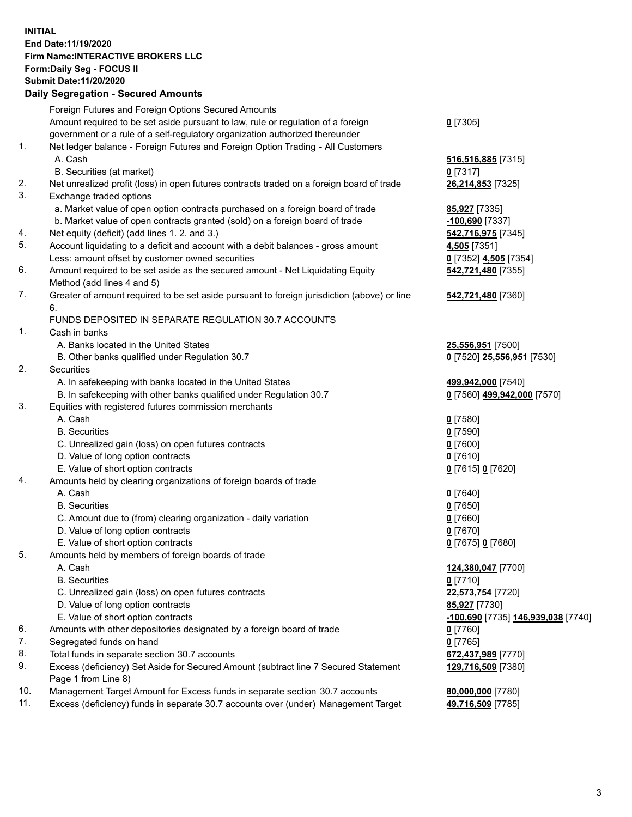**INITIAL End Date:11/19/2020 Firm Name:INTERACTIVE BROKERS LLC Form:Daily Seg - FOCUS II Submit Date:11/20/2020 Daily Segregation - Secured Amounts**

| Foreign Futures and Foreign Options Secured Amounts |                                                                                                                                                                                                                                                                                                                                                                                                                                                                                                                                                                                                                                                                                                                                                                                                                                                                                                                                                                                                                                                                                                                                                                                                                                                                                                                                                                                                                                                                                                                                                                                                                                                                                                                                                                                                                                                                                                                                                                                                                                                                                                                                                                                                                                                                                                                                                                                                                                                  |
|-----------------------------------------------------|--------------------------------------------------------------------------------------------------------------------------------------------------------------------------------------------------------------------------------------------------------------------------------------------------------------------------------------------------------------------------------------------------------------------------------------------------------------------------------------------------------------------------------------------------------------------------------------------------------------------------------------------------------------------------------------------------------------------------------------------------------------------------------------------------------------------------------------------------------------------------------------------------------------------------------------------------------------------------------------------------------------------------------------------------------------------------------------------------------------------------------------------------------------------------------------------------------------------------------------------------------------------------------------------------------------------------------------------------------------------------------------------------------------------------------------------------------------------------------------------------------------------------------------------------------------------------------------------------------------------------------------------------------------------------------------------------------------------------------------------------------------------------------------------------------------------------------------------------------------------------------------------------------------------------------------------------------------------------------------------------------------------------------------------------------------------------------------------------------------------------------------------------------------------------------------------------------------------------------------------------------------------------------------------------------------------------------------------------------------------------------------------------------------------------------------------------|
|                                                     | $0$ [7305]                                                                                                                                                                                                                                                                                                                                                                                                                                                                                                                                                                                                                                                                                                                                                                                                                                                                                                                                                                                                                                                                                                                                                                                                                                                                                                                                                                                                                                                                                                                                                                                                                                                                                                                                                                                                                                                                                                                                                                                                                                                                                                                                                                                                                                                                                                                                                                                                                                       |
|                                                     |                                                                                                                                                                                                                                                                                                                                                                                                                                                                                                                                                                                                                                                                                                                                                                                                                                                                                                                                                                                                                                                                                                                                                                                                                                                                                                                                                                                                                                                                                                                                                                                                                                                                                                                                                                                                                                                                                                                                                                                                                                                                                                                                                                                                                                                                                                                                                                                                                                                  |
|                                                     |                                                                                                                                                                                                                                                                                                                                                                                                                                                                                                                                                                                                                                                                                                                                                                                                                                                                                                                                                                                                                                                                                                                                                                                                                                                                                                                                                                                                                                                                                                                                                                                                                                                                                                                                                                                                                                                                                                                                                                                                                                                                                                                                                                                                                                                                                                                                                                                                                                                  |
| A. Cash                                             | 516,516,885 [7315]                                                                                                                                                                                                                                                                                                                                                                                                                                                                                                                                                                                                                                                                                                                                                                                                                                                                                                                                                                                                                                                                                                                                                                                                                                                                                                                                                                                                                                                                                                                                                                                                                                                                                                                                                                                                                                                                                                                                                                                                                                                                                                                                                                                                                                                                                                                                                                                                                               |
|                                                     | $0$ [7317]                                                                                                                                                                                                                                                                                                                                                                                                                                                                                                                                                                                                                                                                                                                                                                                                                                                                                                                                                                                                                                                                                                                                                                                                                                                                                                                                                                                                                                                                                                                                                                                                                                                                                                                                                                                                                                                                                                                                                                                                                                                                                                                                                                                                                                                                                                                                                                                                                                       |
|                                                     | 26,214,853 [7325]                                                                                                                                                                                                                                                                                                                                                                                                                                                                                                                                                                                                                                                                                                                                                                                                                                                                                                                                                                                                                                                                                                                                                                                                                                                                                                                                                                                                                                                                                                                                                                                                                                                                                                                                                                                                                                                                                                                                                                                                                                                                                                                                                                                                                                                                                                                                                                                                                                |
|                                                     |                                                                                                                                                                                                                                                                                                                                                                                                                                                                                                                                                                                                                                                                                                                                                                                                                                                                                                                                                                                                                                                                                                                                                                                                                                                                                                                                                                                                                                                                                                                                                                                                                                                                                                                                                                                                                                                                                                                                                                                                                                                                                                                                                                                                                                                                                                                                                                                                                                                  |
|                                                     | 85,927 [7335]                                                                                                                                                                                                                                                                                                                                                                                                                                                                                                                                                                                                                                                                                                                                                                                                                                                                                                                                                                                                                                                                                                                                                                                                                                                                                                                                                                                                                                                                                                                                                                                                                                                                                                                                                                                                                                                                                                                                                                                                                                                                                                                                                                                                                                                                                                                                                                                                                                    |
|                                                     | -100,690 <sup>[7337]</sup>                                                                                                                                                                                                                                                                                                                                                                                                                                                                                                                                                                                                                                                                                                                                                                                                                                                                                                                                                                                                                                                                                                                                                                                                                                                                                                                                                                                                                                                                                                                                                                                                                                                                                                                                                                                                                                                                                                                                                                                                                                                                                                                                                                                                                                                                                                                                                                                                                       |
|                                                     | 542,716,975 [7345]                                                                                                                                                                                                                                                                                                                                                                                                                                                                                                                                                                                                                                                                                                                                                                                                                                                                                                                                                                                                                                                                                                                                                                                                                                                                                                                                                                                                                                                                                                                                                                                                                                                                                                                                                                                                                                                                                                                                                                                                                                                                                                                                                                                                                                                                                                                                                                                                                               |
|                                                     | 4,505 <sub>[7351]</sub>                                                                                                                                                                                                                                                                                                                                                                                                                                                                                                                                                                                                                                                                                                                                                                                                                                                                                                                                                                                                                                                                                                                                                                                                                                                                                                                                                                                                                                                                                                                                                                                                                                                                                                                                                                                                                                                                                                                                                                                                                                                                                                                                                                                                                                                                                                                                                                                                                          |
|                                                     | 0 [7352] 4,505 [7354]                                                                                                                                                                                                                                                                                                                                                                                                                                                                                                                                                                                                                                                                                                                                                                                                                                                                                                                                                                                                                                                                                                                                                                                                                                                                                                                                                                                                                                                                                                                                                                                                                                                                                                                                                                                                                                                                                                                                                                                                                                                                                                                                                                                                                                                                                                                                                                                                                            |
|                                                     | 542,721,480 [7355]                                                                                                                                                                                                                                                                                                                                                                                                                                                                                                                                                                                                                                                                                                                                                                                                                                                                                                                                                                                                                                                                                                                                                                                                                                                                                                                                                                                                                                                                                                                                                                                                                                                                                                                                                                                                                                                                                                                                                                                                                                                                                                                                                                                                                                                                                                                                                                                                                               |
|                                                     |                                                                                                                                                                                                                                                                                                                                                                                                                                                                                                                                                                                                                                                                                                                                                                                                                                                                                                                                                                                                                                                                                                                                                                                                                                                                                                                                                                                                                                                                                                                                                                                                                                                                                                                                                                                                                                                                                                                                                                                                                                                                                                                                                                                                                                                                                                                                                                                                                                                  |
|                                                     | 542,721,480 [7360]                                                                                                                                                                                                                                                                                                                                                                                                                                                                                                                                                                                                                                                                                                                                                                                                                                                                                                                                                                                                                                                                                                                                                                                                                                                                                                                                                                                                                                                                                                                                                                                                                                                                                                                                                                                                                                                                                                                                                                                                                                                                                                                                                                                                                                                                                                                                                                                                                               |
| 6.                                                  |                                                                                                                                                                                                                                                                                                                                                                                                                                                                                                                                                                                                                                                                                                                                                                                                                                                                                                                                                                                                                                                                                                                                                                                                                                                                                                                                                                                                                                                                                                                                                                                                                                                                                                                                                                                                                                                                                                                                                                                                                                                                                                                                                                                                                                                                                                                                                                                                                                                  |
|                                                     |                                                                                                                                                                                                                                                                                                                                                                                                                                                                                                                                                                                                                                                                                                                                                                                                                                                                                                                                                                                                                                                                                                                                                                                                                                                                                                                                                                                                                                                                                                                                                                                                                                                                                                                                                                                                                                                                                                                                                                                                                                                                                                                                                                                                                                                                                                                                                                                                                                                  |
| Cash in banks                                       |                                                                                                                                                                                                                                                                                                                                                                                                                                                                                                                                                                                                                                                                                                                                                                                                                                                                                                                                                                                                                                                                                                                                                                                                                                                                                                                                                                                                                                                                                                                                                                                                                                                                                                                                                                                                                                                                                                                                                                                                                                                                                                                                                                                                                                                                                                                                                                                                                                                  |
|                                                     | 25,556,951 [7500]                                                                                                                                                                                                                                                                                                                                                                                                                                                                                                                                                                                                                                                                                                                                                                                                                                                                                                                                                                                                                                                                                                                                                                                                                                                                                                                                                                                                                                                                                                                                                                                                                                                                                                                                                                                                                                                                                                                                                                                                                                                                                                                                                                                                                                                                                                                                                                                                                                |
|                                                     | 0 [7520] 25,556,951 [7530]                                                                                                                                                                                                                                                                                                                                                                                                                                                                                                                                                                                                                                                                                                                                                                                                                                                                                                                                                                                                                                                                                                                                                                                                                                                                                                                                                                                                                                                                                                                                                                                                                                                                                                                                                                                                                                                                                                                                                                                                                                                                                                                                                                                                                                                                                                                                                                                                                       |
|                                                     |                                                                                                                                                                                                                                                                                                                                                                                                                                                                                                                                                                                                                                                                                                                                                                                                                                                                                                                                                                                                                                                                                                                                                                                                                                                                                                                                                                                                                                                                                                                                                                                                                                                                                                                                                                                                                                                                                                                                                                                                                                                                                                                                                                                                                                                                                                                                                                                                                                                  |
|                                                     | 499,942,000 [7540]                                                                                                                                                                                                                                                                                                                                                                                                                                                                                                                                                                                                                                                                                                                                                                                                                                                                                                                                                                                                                                                                                                                                                                                                                                                                                                                                                                                                                                                                                                                                                                                                                                                                                                                                                                                                                                                                                                                                                                                                                                                                                                                                                                                                                                                                                                                                                                                                                               |
|                                                     | 0 [7560] 499,942,000 [7570]                                                                                                                                                                                                                                                                                                                                                                                                                                                                                                                                                                                                                                                                                                                                                                                                                                                                                                                                                                                                                                                                                                                                                                                                                                                                                                                                                                                                                                                                                                                                                                                                                                                                                                                                                                                                                                                                                                                                                                                                                                                                                                                                                                                                                                                                                                                                                                                                                      |
|                                                     |                                                                                                                                                                                                                                                                                                                                                                                                                                                                                                                                                                                                                                                                                                                                                                                                                                                                                                                                                                                                                                                                                                                                                                                                                                                                                                                                                                                                                                                                                                                                                                                                                                                                                                                                                                                                                                                                                                                                                                                                                                                                                                                                                                                                                                                                                                                                                                                                                                                  |
|                                                     | $0$ [7580]                                                                                                                                                                                                                                                                                                                                                                                                                                                                                                                                                                                                                                                                                                                                                                                                                                                                                                                                                                                                                                                                                                                                                                                                                                                                                                                                                                                                                                                                                                                                                                                                                                                                                                                                                                                                                                                                                                                                                                                                                                                                                                                                                                                                                                                                                                                                                                                                                                       |
|                                                     | $0$ [7590]                                                                                                                                                                                                                                                                                                                                                                                                                                                                                                                                                                                                                                                                                                                                                                                                                                                                                                                                                                                                                                                                                                                                                                                                                                                                                                                                                                                                                                                                                                                                                                                                                                                                                                                                                                                                                                                                                                                                                                                                                                                                                                                                                                                                                                                                                                                                                                                                                                       |
|                                                     | $0$ [7600]                                                                                                                                                                                                                                                                                                                                                                                                                                                                                                                                                                                                                                                                                                                                                                                                                                                                                                                                                                                                                                                                                                                                                                                                                                                                                                                                                                                                                                                                                                                                                                                                                                                                                                                                                                                                                                                                                                                                                                                                                                                                                                                                                                                                                                                                                                                                                                                                                                       |
|                                                     | $0$ [7610]                                                                                                                                                                                                                                                                                                                                                                                                                                                                                                                                                                                                                                                                                                                                                                                                                                                                                                                                                                                                                                                                                                                                                                                                                                                                                                                                                                                                                                                                                                                                                                                                                                                                                                                                                                                                                                                                                                                                                                                                                                                                                                                                                                                                                                                                                                                                                                                                                                       |
|                                                     | 0 [7615] 0 [7620]                                                                                                                                                                                                                                                                                                                                                                                                                                                                                                                                                                                                                                                                                                                                                                                                                                                                                                                                                                                                                                                                                                                                                                                                                                                                                                                                                                                                                                                                                                                                                                                                                                                                                                                                                                                                                                                                                                                                                                                                                                                                                                                                                                                                                                                                                                                                                                                                                                |
|                                                     |                                                                                                                                                                                                                                                                                                                                                                                                                                                                                                                                                                                                                                                                                                                                                                                                                                                                                                                                                                                                                                                                                                                                                                                                                                                                                                                                                                                                                                                                                                                                                                                                                                                                                                                                                                                                                                                                                                                                                                                                                                                                                                                                                                                                                                                                                                                                                                                                                                                  |
|                                                     | $0$ [7640]                                                                                                                                                                                                                                                                                                                                                                                                                                                                                                                                                                                                                                                                                                                                                                                                                                                                                                                                                                                                                                                                                                                                                                                                                                                                                                                                                                                                                                                                                                                                                                                                                                                                                                                                                                                                                                                                                                                                                                                                                                                                                                                                                                                                                                                                                                                                                                                                                                       |
|                                                     | $0$ [7650]                                                                                                                                                                                                                                                                                                                                                                                                                                                                                                                                                                                                                                                                                                                                                                                                                                                                                                                                                                                                                                                                                                                                                                                                                                                                                                                                                                                                                                                                                                                                                                                                                                                                                                                                                                                                                                                                                                                                                                                                                                                                                                                                                                                                                                                                                                                                                                                                                                       |
|                                                     | $0$ [7660]                                                                                                                                                                                                                                                                                                                                                                                                                                                                                                                                                                                                                                                                                                                                                                                                                                                                                                                                                                                                                                                                                                                                                                                                                                                                                                                                                                                                                                                                                                                                                                                                                                                                                                                                                                                                                                                                                                                                                                                                                                                                                                                                                                                                                                                                                                                                                                                                                                       |
|                                                     | $0$ [7670]                                                                                                                                                                                                                                                                                                                                                                                                                                                                                                                                                                                                                                                                                                                                                                                                                                                                                                                                                                                                                                                                                                                                                                                                                                                                                                                                                                                                                                                                                                                                                                                                                                                                                                                                                                                                                                                                                                                                                                                                                                                                                                                                                                                                                                                                                                                                                                                                                                       |
|                                                     | 0 [7675] 0 [7680]                                                                                                                                                                                                                                                                                                                                                                                                                                                                                                                                                                                                                                                                                                                                                                                                                                                                                                                                                                                                                                                                                                                                                                                                                                                                                                                                                                                                                                                                                                                                                                                                                                                                                                                                                                                                                                                                                                                                                                                                                                                                                                                                                                                                                                                                                                                                                                                                                                |
|                                                     |                                                                                                                                                                                                                                                                                                                                                                                                                                                                                                                                                                                                                                                                                                                                                                                                                                                                                                                                                                                                                                                                                                                                                                                                                                                                                                                                                                                                                                                                                                                                                                                                                                                                                                                                                                                                                                                                                                                                                                                                                                                                                                                                                                                                                                                                                                                                                                                                                                                  |
|                                                     | 124,380,047 [7700]                                                                                                                                                                                                                                                                                                                                                                                                                                                                                                                                                                                                                                                                                                                                                                                                                                                                                                                                                                                                                                                                                                                                                                                                                                                                                                                                                                                                                                                                                                                                                                                                                                                                                                                                                                                                                                                                                                                                                                                                                                                                                                                                                                                                                                                                                                                                                                                                                               |
|                                                     | $0$ [7710]                                                                                                                                                                                                                                                                                                                                                                                                                                                                                                                                                                                                                                                                                                                                                                                                                                                                                                                                                                                                                                                                                                                                                                                                                                                                                                                                                                                                                                                                                                                                                                                                                                                                                                                                                                                                                                                                                                                                                                                                                                                                                                                                                                                                                                                                                                                                                                                                                                       |
|                                                     | 22,573,754 [7720]                                                                                                                                                                                                                                                                                                                                                                                                                                                                                                                                                                                                                                                                                                                                                                                                                                                                                                                                                                                                                                                                                                                                                                                                                                                                                                                                                                                                                                                                                                                                                                                                                                                                                                                                                                                                                                                                                                                                                                                                                                                                                                                                                                                                                                                                                                                                                                                                                                |
|                                                     | 85,927 [7730]                                                                                                                                                                                                                                                                                                                                                                                                                                                                                                                                                                                                                                                                                                                                                                                                                                                                                                                                                                                                                                                                                                                                                                                                                                                                                                                                                                                                                                                                                                                                                                                                                                                                                                                                                                                                                                                                                                                                                                                                                                                                                                                                                                                                                                                                                                                                                                                                                                    |
|                                                     | <mark>-100,690</mark> [7735] 146,939,038 [7740]                                                                                                                                                                                                                                                                                                                                                                                                                                                                                                                                                                                                                                                                                                                                                                                                                                                                                                                                                                                                                                                                                                                                                                                                                                                                                                                                                                                                                                                                                                                                                                                                                                                                                                                                                                                                                                                                                                                                                                                                                                                                                                                                                                                                                                                                                                                                                                                                  |
|                                                     | $0$ [7760]                                                                                                                                                                                                                                                                                                                                                                                                                                                                                                                                                                                                                                                                                                                                                                                                                                                                                                                                                                                                                                                                                                                                                                                                                                                                                                                                                                                                                                                                                                                                                                                                                                                                                                                                                                                                                                                                                                                                                                                                                                                                                                                                                                                                                                                                                                                                                                                                                                       |
|                                                     | $0$ [7765]                                                                                                                                                                                                                                                                                                                                                                                                                                                                                                                                                                                                                                                                                                                                                                                                                                                                                                                                                                                                                                                                                                                                                                                                                                                                                                                                                                                                                                                                                                                                                                                                                                                                                                                                                                                                                                                                                                                                                                                                                                                                                                                                                                                                                                                                                                                                                                                                                                       |
|                                                     | 672,437,989 [7770]                                                                                                                                                                                                                                                                                                                                                                                                                                                                                                                                                                                                                                                                                                                                                                                                                                                                                                                                                                                                                                                                                                                                                                                                                                                                                                                                                                                                                                                                                                                                                                                                                                                                                                                                                                                                                                                                                                                                                                                                                                                                                                                                                                                                                                                                                                                                                                                                                               |
|                                                     | 129,716,509 [7380]                                                                                                                                                                                                                                                                                                                                                                                                                                                                                                                                                                                                                                                                                                                                                                                                                                                                                                                                                                                                                                                                                                                                                                                                                                                                                                                                                                                                                                                                                                                                                                                                                                                                                                                                                                                                                                                                                                                                                                                                                                                                                                                                                                                                                                                                                                                                                                                                                               |
|                                                     |                                                                                                                                                                                                                                                                                                                                                                                                                                                                                                                                                                                                                                                                                                                                                                                                                                                                                                                                                                                                                                                                                                                                                                                                                                                                                                                                                                                                                                                                                                                                                                                                                                                                                                                                                                                                                                                                                                                                                                                                                                                                                                                                                                                                                                                                                                                                                                                                                                                  |
|                                                     | 80,000,000 [7780]                                                                                                                                                                                                                                                                                                                                                                                                                                                                                                                                                                                                                                                                                                                                                                                                                                                                                                                                                                                                                                                                                                                                                                                                                                                                                                                                                                                                                                                                                                                                                                                                                                                                                                                                                                                                                                                                                                                                                                                                                                                                                                                                                                                                                                                                                                                                                                                                                                |
|                                                     | 49,716,509 [7785]                                                                                                                                                                                                                                                                                                                                                                                                                                                                                                                                                                                                                                                                                                                                                                                                                                                                                                                                                                                                                                                                                                                                                                                                                                                                                                                                                                                                                                                                                                                                                                                                                                                                                                                                                                                                                                                                                                                                                                                                                                                                                                                                                                                                                                                                                                                                                                                                                                |
|                                                     | Amount required to be set aside pursuant to law, rule or regulation of a foreign<br>government or a rule of a self-regulatory organization authorized thereunder<br>Net ledger balance - Foreign Futures and Foreign Option Trading - All Customers<br>B. Securities (at market)<br>Net unrealized profit (loss) in open futures contracts traded on a foreign board of trade<br>Exchange traded options<br>a. Market value of open option contracts purchased on a foreign board of trade<br>b. Market value of open contracts granted (sold) on a foreign board of trade<br>Net equity (deficit) (add lines 1. 2. and 3.)<br>Account liquidating to a deficit and account with a debit balances - gross amount<br>Less: amount offset by customer owned securities<br>Amount required to be set aside as the secured amount - Net Liquidating Equity<br>Method (add lines 4 and 5)<br>Greater of amount required to be set aside pursuant to foreign jurisdiction (above) or line<br>FUNDS DEPOSITED IN SEPARATE REGULATION 30.7 ACCOUNTS<br>A. Banks located in the United States<br>B. Other banks qualified under Regulation 30.7<br>Securities<br>A. In safekeeping with banks located in the United States<br>B. In safekeeping with other banks qualified under Regulation 30.7<br>Equities with registered futures commission merchants<br>A. Cash<br><b>B.</b> Securities<br>C. Unrealized gain (loss) on open futures contracts<br>D. Value of long option contracts<br>E. Value of short option contracts<br>Amounts held by clearing organizations of foreign boards of trade<br>A. Cash<br><b>B.</b> Securities<br>C. Amount due to (from) clearing organization - daily variation<br>D. Value of long option contracts<br>E. Value of short option contracts<br>Amounts held by members of foreign boards of trade<br>A. Cash<br><b>B.</b> Securities<br>C. Unrealized gain (loss) on open futures contracts<br>D. Value of long option contracts<br>E. Value of short option contracts<br>Amounts with other depositories designated by a foreign board of trade<br>Segregated funds on hand<br>Total funds in separate section 30.7 accounts<br>Excess (deficiency) Set Aside for Secured Amount (subtract line 7 Secured Statement<br>Page 1 from Line 8)<br>Management Target Amount for Excess funds in separate section 30.7 accounts<br>Excess (deficiency) funds in separate 30.7 accounts over (under) Management Target |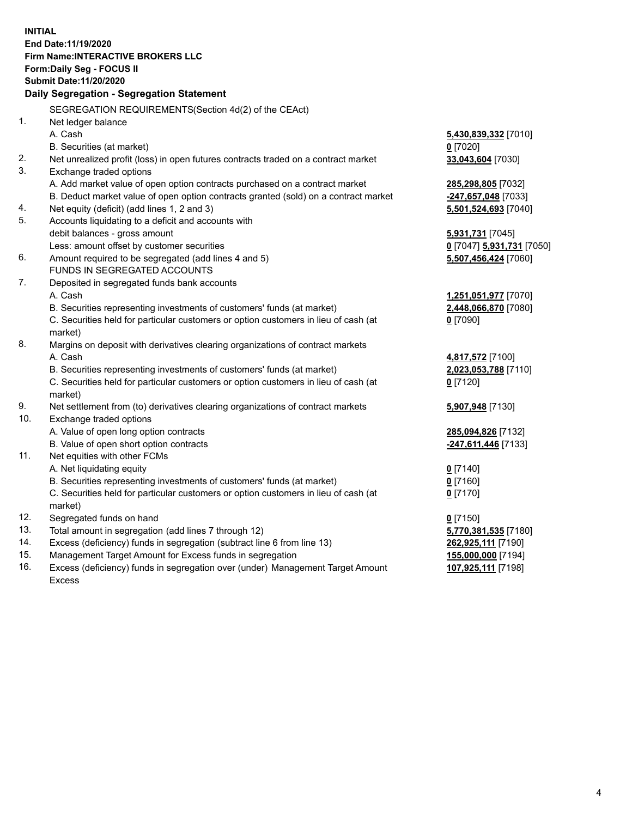**INITIAL End Date:11/19/2020 Firm Name:INTERACTIVE BROKERS LLC Form:Daily Seg - FOCUS II Submit Date:11/20/2020 Daily Segregation - Segregation Statement** SEGREGATION REQUIREMENTS(Section 4d(2) of the CEAct) 1. Net ledger balance A. Cash **5,430,839,332** [7010] B. Securities (at market) **0** [7020] 2. Net unrealized profit (loss) in open futures contracts traded on a contract market **33,043,604** [7030] 3. Exchange traded options A. Add market value of open option contracts purchased on a contract market **285,298,805** [7032] B. Deduct market value of open option contracts granted (sold) on a contract market **-247,657,048** [7033] 4. Net equity (deficit) (add lines 1, 2 and 3) **5,501,524,693** [7040] 5. Accounts liquidating to a deficit and accounts with debit balances - gross amount **5,931,731** [7045] Less: amount offset by customer securities **0** [7047] **5,931,731** [7050] 6. Amount required to be segregated (add lines 4 and 5) **5,507,456,424** [7060] FUNDS IN SEGREGATED ACCOUNTS 7. Deposited in segregated funds bank accounts A. Cash **1,251,051,977** [7070] B. Securities representing investments of customers' funds (at market) **2,448,066,870** [7080] C. Securities held for particular customers or option customers in lieu of cash (at market) **0** [7090] 8. Margins on deposit with derivatives clearing organizations of contract markets A. Cash **4,817,572** [7100] B. Securities representing investments of customers' funds (at market) **2,023,053,788** [7110] C. Securities held for particular customers or option customers in lieu of cash (at market) **0** [7120] 9. Net settlement from (to) derivatives clearing organizations of contract markets **5,907,948** [7130] 10. Exchange traded options A. Value of open long option contracts **285,094,826** [7132] B. Value of open short option contracts **-247,611,446** [7133] 11. Net equities with other FCMs A. Net liquidating equity **0** [7140] B. Securities representing investments of customers' funds (at market) **0** [7160] C. Securities held for particular customers or option customers in lieu of cash (at market) **0** [7170] 12. Segregated funds on hand **0** [7150] 13. Total amount in segregation (add lines 7 through 12) **5,770,381,535** [7180] 14. Excess (deficiency) funds in segregation (subtract line 6 from line 13) **262,925,111** [7190] 15. Management Target Amount for Excess funds in segregation **155,000,000** [7194]

16. Excess (deficiency) funds in segregation over (under) Management Target Amount Excess

**107,925,111** [7198]